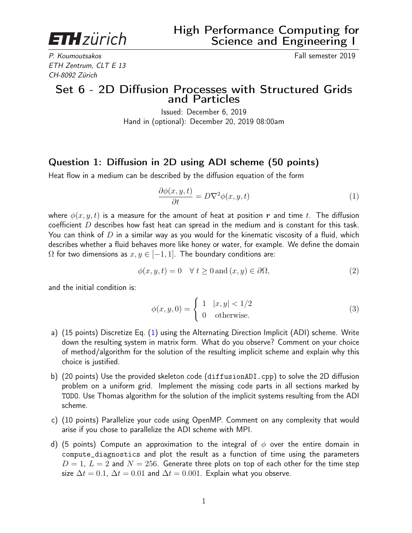**ETH**zürich

P. Koumoutsakos Fall semester 2019 ETH Zentrum, CLT E 13 CH-8092 Zürich

## Set 6 - 2D Diffusion Processes with Structured Grids and Particles

Issued: December 6, 2019 Hand in (optional): December 20, 2019 08:00am

## Question 1: Diffusion in 2D using ADI scheme (50 points)

Heat flow in a medium can be described by the diffusion equation of the form

<span id="page-0-0"></span>
$$
\frac{\partial \phi(x, y, t)}{\partial t} = D \nabla^2 \phi(x, y, t) \tag{1}
$$

where  $\phi(x, y, t)$  is a measure for the amount of heat at position r and time t. The diffusion coefficient D describes how fast heat can spread in the medium and is constant for this task. You can think of D in a similar way as you would for the kinematic viscosity of a fluid, which describes whether a fluid behaves more like honey or water, for example. We define the domain  $\Omega$  for two dimensions as  $x, y \in [-1, 1]$ . The boundary conditions are:

$$
\phi(x, y, t) = 0 \quad \forall \ t \ge 0 \text{ and } (x, y) \in \partial \Omega,
$$
\n
$$
(2)
$$

and the initial condition is:

$$
\phi(x, y, 0) = \begin{cases} 1 & |x, y| < 1/2 \\ 0 & \text{otherwise.} \end{cases} \tag{3}
$$

- a) (15 points) Discretize Eq. [\(1\)](#page-0-0) using the Alternating Direction Implicit (ADI) scheme. Write down the resulting system in matrix form. What do you observe? Comment on your choice of method/algorithm for the solution of the resulting implicit scheme and explain why this choice is justified.
- b) (20 points) Use the provided skeleton code (diffusionADI.cpp) to solve the 2D diffusion problem on a uniform grid. Implement the missing code parts in all sections marked by TODO. Use Thomas algorithm for the solution of the implicit systems resulting from the ADI scheme.
- c) (10 points) Parallelize your code using OpenMP. Comment on any complexity that would arise if you chose to parallelize the ADI scheme with MPI.
- d) (5 points) Compute an approximation to the integral of  $\phi$  over the entire domain in compute\_diagnostics and plot the result as a function of time using the parameters  $D = 1$ ,  $L = 2$  and  $N = 256$ . Generate three plots on top of each other for the time step size  $\Delta t = 0.1$ ,  $\Delta t = 0.01$  and  $\Delta t = 0.001$ . Explain what you observe.